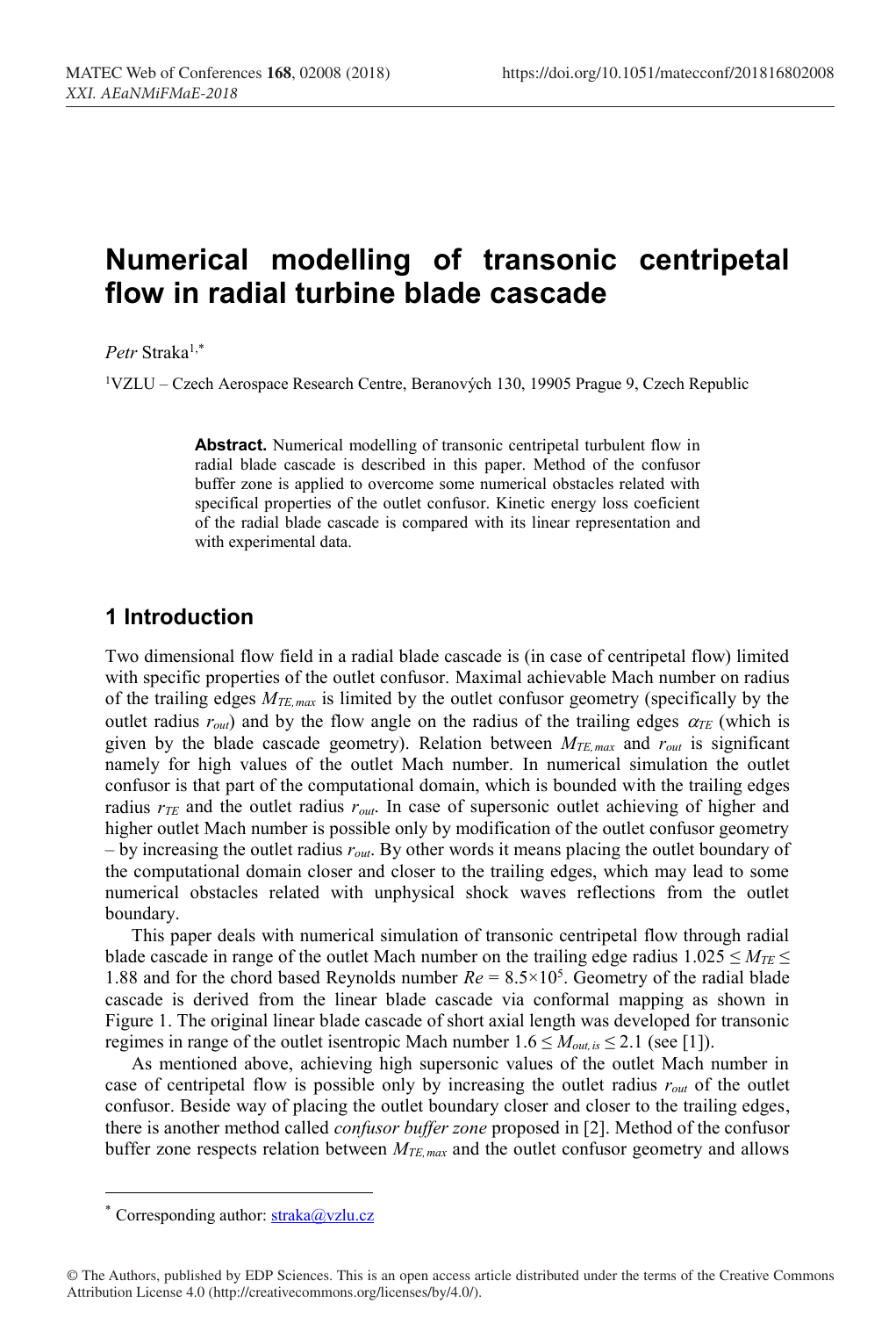# **Numerical modelling of transonic centripetal flow in radial turbine blade cascade**

*Petr* Straka1,\*

1VZLU – Czech Aerospace Research Centre, Beranových 130, 19905 Prague 9, Czech Republic

**Abstract.** Numerical modelling of transonic centripetal turbulent flow in radial blade cascade is described in this paper. Method of the confusor buffer zone is applied to overcome some numerical obstacles related with specifical properties of the outlet confusor. Kinetic energy loss coeficient of the radial blade cascade is compared with its linear representation and with experimental data.

# **1 Introduction**

Two dimensional flow field in a radial blade cascade is (in case of centripetal flow) limited with specific properties of the outlet confusor. Maximal achievable Mach number on radius of the trailing edges *MTE,max* is limited by the outlet confusor geometry (specifically by the outlet radius  $r_{out}$ ) and by the flow angle on the radius of the trailing edges  $\alpha_{TE}$  (which is given by the blade cascade geometry). Relation between *MTE,max* and *rout* is significant namely for high values of the outlet Mach number. In numerical simulation the outlet confusor is that part of the computational domain, which is bounded with the trailing edges radius *rTE* and the outlet radius *rout*. In case of supersonic outlet achieving of higher and higher outlet Mach number is possible only by modification of the outlet confusor geometry – by increasing the outlet radius *rout*. By other words it means placing the outlet boundary of the computational domain closer and closer to the trailing edges, which may lead to some numerical obstacles related with unphysical shock waves reflections from the outlet boundary.

This paper deals with numerical simulation of transonic centripetal flow through radial blade cascade in range of the outlet Mach number on the trailing edge radius  $1.025 \le M_{TE} \le$ 1.88 and for the chord based Reynolds number  $Re = 8.5 \times 10^5$ . Geometry of the radial blade cascade is derived from the linear blade cascade via conformal mapping as shown in Figure 1. The original linear blade cascade of short axial length was developed for transonic regimes in range of the outlet isentropic Mach number  $1.6 \leq M_{out, is} \leq 2.1$  (see [1]).

As mentioned above, achieving high supersonic values of the outlet Mach number in case of centripetal flow is possible only by increasing the outlet radius *rout* of the outlet confusor. Beside way of placing the outlet boundary closer and closer to the trailing edges, there is another method called *confusor buffer zone* proposed in [2]. Method of the confusor buffer zone respects relation between  $M_{TE, max}$  and the outlet confusor geometry and allows

 <sup>\*</sup> Corresponding author: straka@vzlu.cz

<sup>©</sup> The Authors, published by EDP Sciences. This is an open access article distributed under the terms of the Creative Commons Attribution License 4.0 (http://creativecommons.org/licenses/by/4.0/).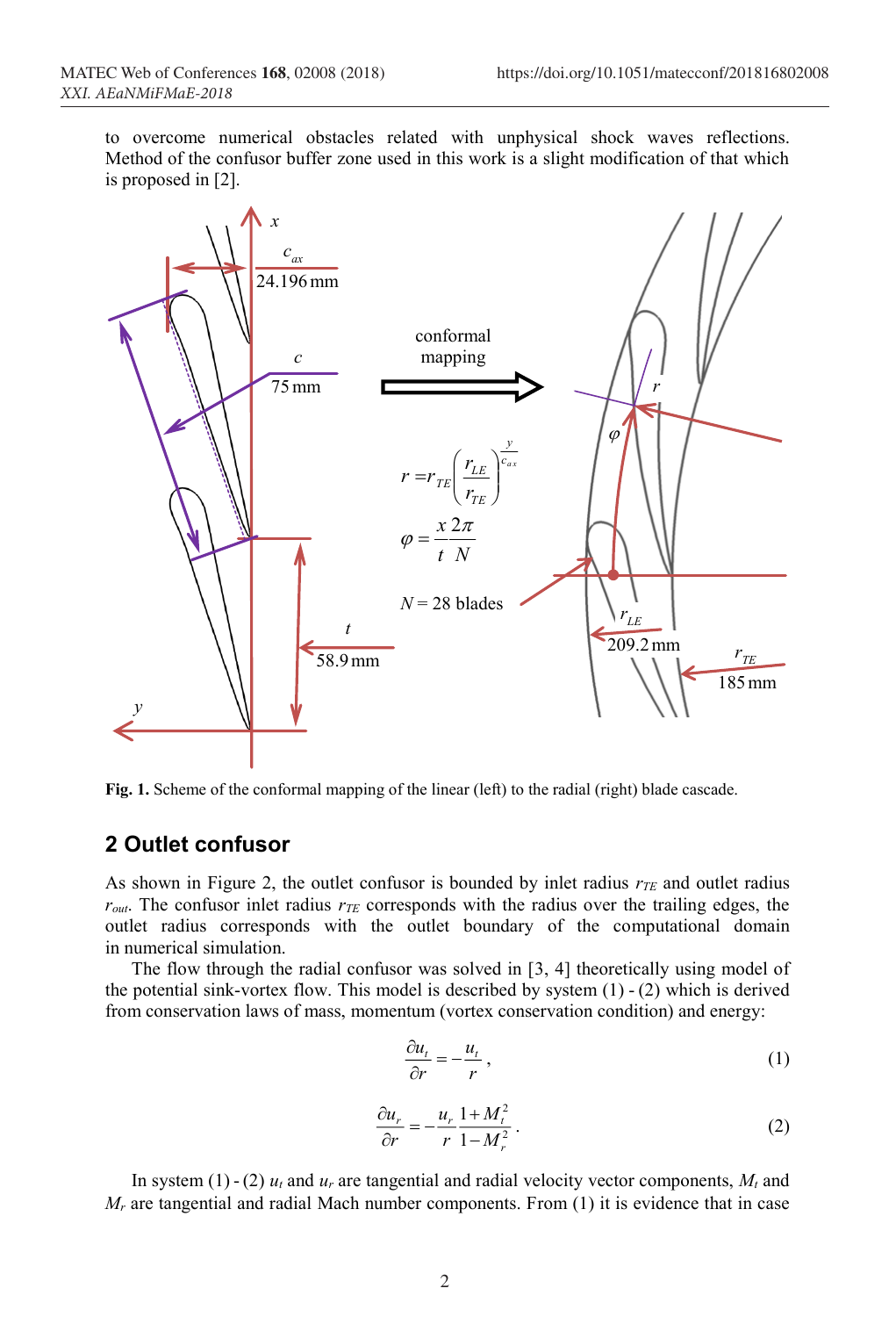to overcome numerical obstacles related with unphysical shock waves reflections. Method of the confusor buffer zone used in this work is a slight modification of that which is proposed in [2].



**Fig. 1.** Scheme of the conformal mapping of the linear (left) to the radial (right) blade cascade.

## **2 Outlet confusor**

As shown in Figure 2, the outlet confusor is bounded by inlet radius  $r_{TE}$  and outlet radius  $r_{out}$ . The confusor inlet radius  $r_{TE}$  corresponds with the radius over the trailing edges, the outlet radius corresponds with the outlet boundary of the computational domain in numerical simulation.

The flow through the radial confusor was solved in [3, 4] theoretically using model of the potential sink-vortex flow. This model is described by system  $(1)$  -  $(2)$  which is derived from conservation laws of mass, momentum (vortex conservation condition) and energy:

$$
\frac{\partial u_t}{\partial r} = -\frac{u_t}{r},\tag{1}
$$

$$
\frac{\partial u_r}{\partial r} = -\frac{u_r}{r} \frac{1 + M_t^2}{1 - M_r^2} \,. \tag{2}
$$

In system (1) - (2)  $u_t$  and  $u_r$  are tangential and radial velocity vector components,  $M_t$  and *Mr* are tangential and radial Mach number components. From (1) it is evidence that in case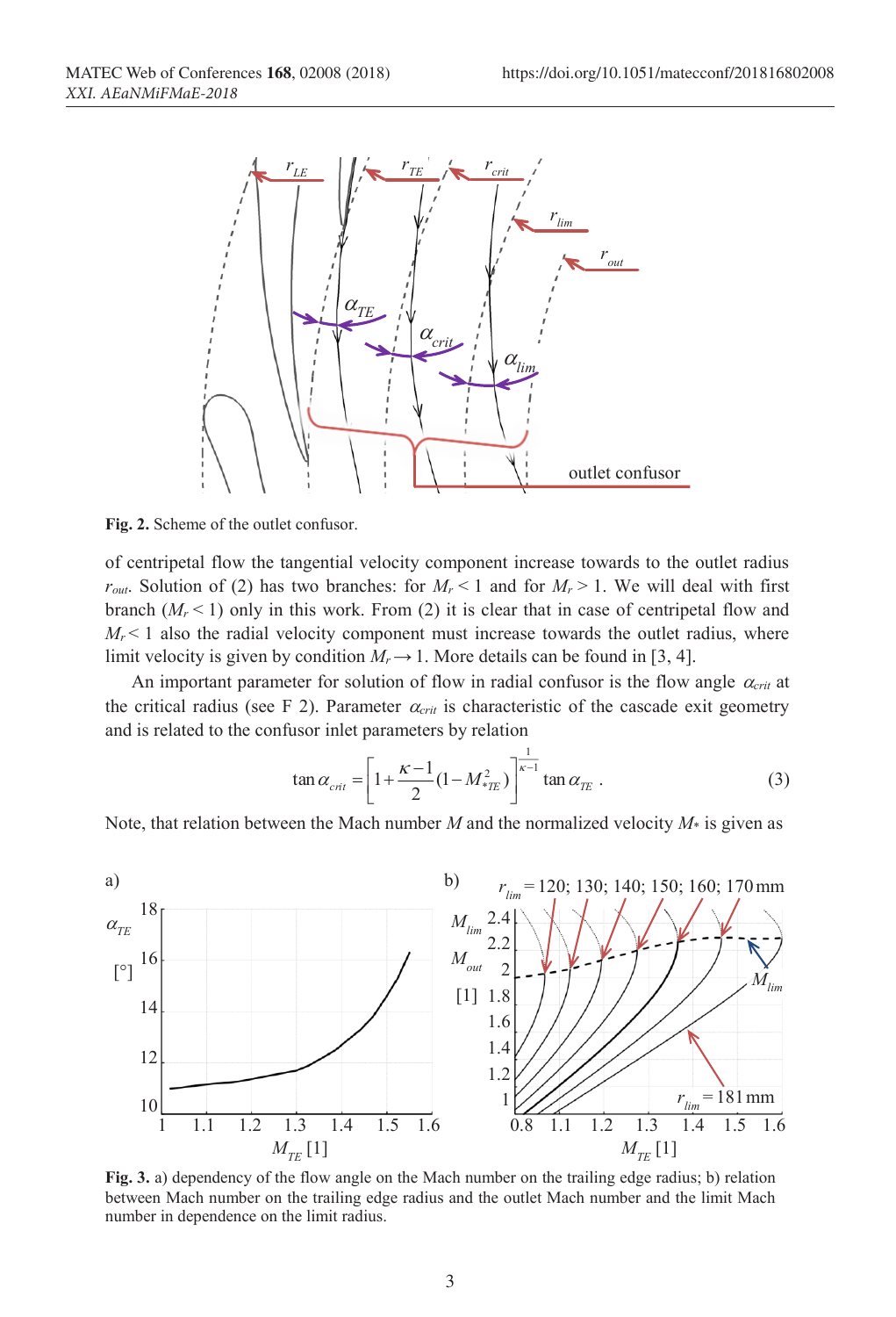

**Fig. 2.** Scheme of the outlet confusor.

of centripetal flow the tangential velocity component increase towards to the outlet radius  $r_{out}$ . Solution of (2) has two branches: for  $M_r < 1$  and for  $M_r > 1$ . We will deal with first branch  $(M_r < 1)$  only in this work. From (2) it is clear that in case of centripetal flow and  $M_r$ <1 also the radial velocity component must increase towards the outlet radius, where limit velocity is given by condition  $M_r \rightarrow 1$ . More details can be found in [3, 4].

An important parameter for solution of flow in radial confusor is the flow angle  $\alpha_{crit}$  at the critical radius (see F 2). Parameter  $\alpha_{crit}$  is characteristic of the cascade exit geometry and is related to the confusor inlet parameters by relation

$$
\tan \alpha_{\rm crit} = \left[ 1 + \frac{\kappa - 1}{2} (1 - M_{\rm *TE}^2) \right]^{\frac{1}{\kappa - 1}} \tan \alpha_{\rm TE} \ . \tag{3}
$$

Note, that relation between the Mach number *M* and the normalized velocity *M*\* is given as



**Fig. 3.** a) dependency of the flow angle on the Mach number on the trailing edge radius; b) relation between Mach number on the trailing edge radius and the outlet Mach number and the limit Mach number in dependence on the limit radius.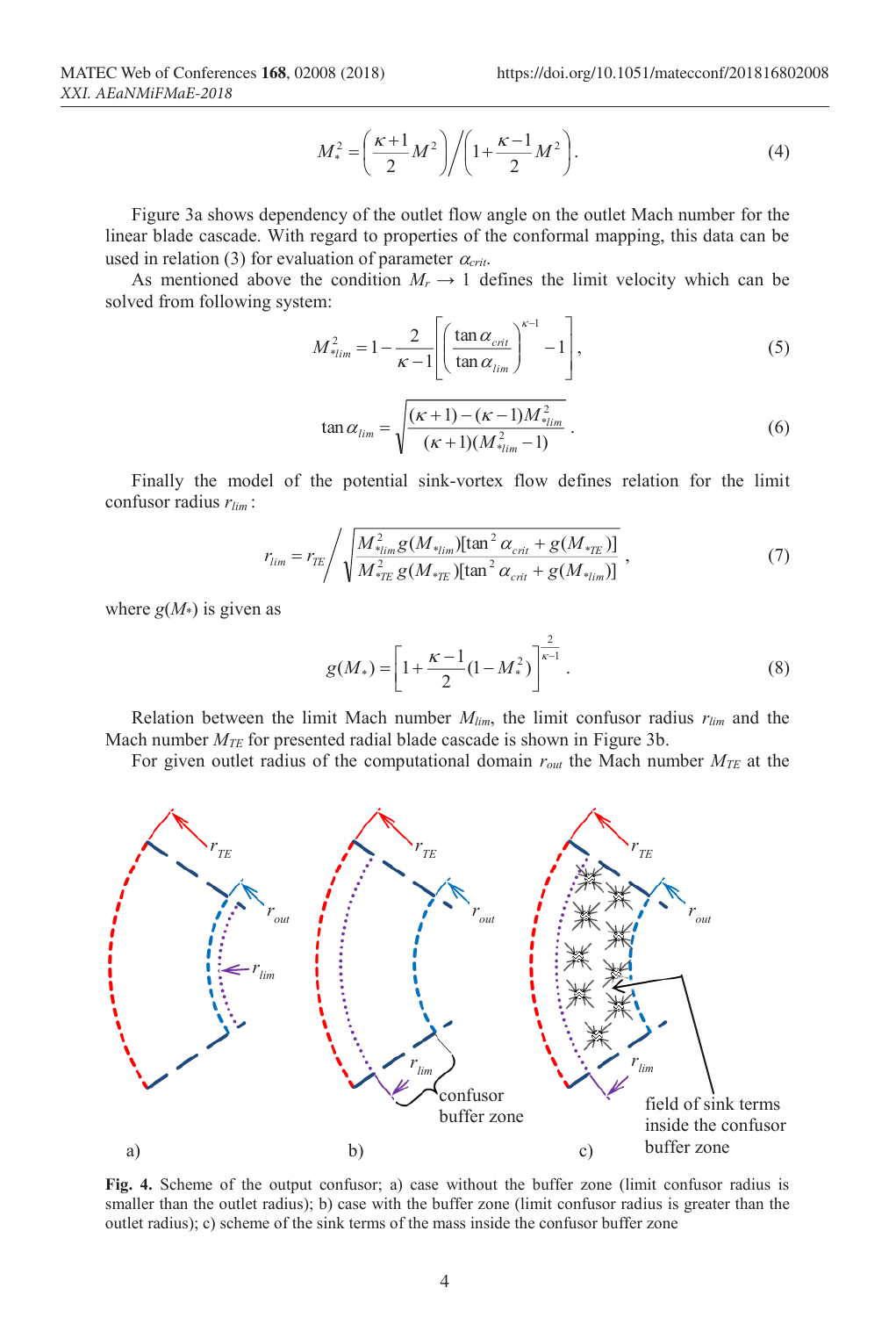$$
M_*^2 = \left(\frac{\kappa+1}{2}M^2\right) / \left(1 + \frac{\kappa-1}{2}M^2\right).
$$
 (4)

Figure 3a shows dependency of the outlet flow angle on the outlet Mach number for the linear blade cascade. With regard to properties of the conformal mapping, this data can be used in relation (3) for evaluation of parameter  $\alpha_{crit}$ .

As mentioned above the condition  $M_r \rightarrow 1$  defines the limit velocity which can be solved from following system:

$$
M_{\ast_{\lim}}^2 = 1 - \frac{2}{\kappa - 1} \left[ \left( \frac{\tan \alpha_{\text{crit}}}{\tan \alpha_{\text{lim}}} \right)^{\kappa - 1} - 1 \right],\tag{5}
$$

$$
\tan \alpha_{\lim} = \sqrt{\frac{(\kappa + 1) - (\kappa - 1)M_{\ast_{\lim}}^2}{(\kappa + 1)(M_{\ast_{\lim}}^2 - 1)}}.
$$
\n(6)

Finally the model of the potential sink-vortex flow defines relation for the limit confusor radius *rlim* :

$$
r_{lim} = r_{TE} / \sqrt{\frac{M_{*_{lim}}^2 g(M_{*_{lim}})[\tan^2 \alpha_{crit} + g(M_{*_{TE}})]}{M_{*_{TE}}^2 g(M_{*_{TE}})[\tan^2 \alpha_{crit} + g(M_{*_{lim}})]}} ,
$$
 (7)

where  $g(M<sub>*</sub>)$  is given as

$$
g(M_*) = \left[1 + \frac{\kappa - 1}{2}(1 - M_*^2)\right]^{\frac{2}{\kappa - 1}}.
$$
 (8)

Relation between the limit Mach number  $M_{lim}$ , the limit confusor radius  $r_{lim}$  and the Mach number *MTE* for presented radial blade cascade is shown in Figure 3b.

For given outlet radius of the computational domain *rout* the Mach number *MTE* at the



**Fig. 4.** Scheme of the output confusor; a) case without the buffer zone (limit confusor radius is smaller than the outlet radius); b) case with the buffer zone (limit confusor radius is greater than the outlet radius); c) scheme of the sink terms of the mass inside the confusor buffer zone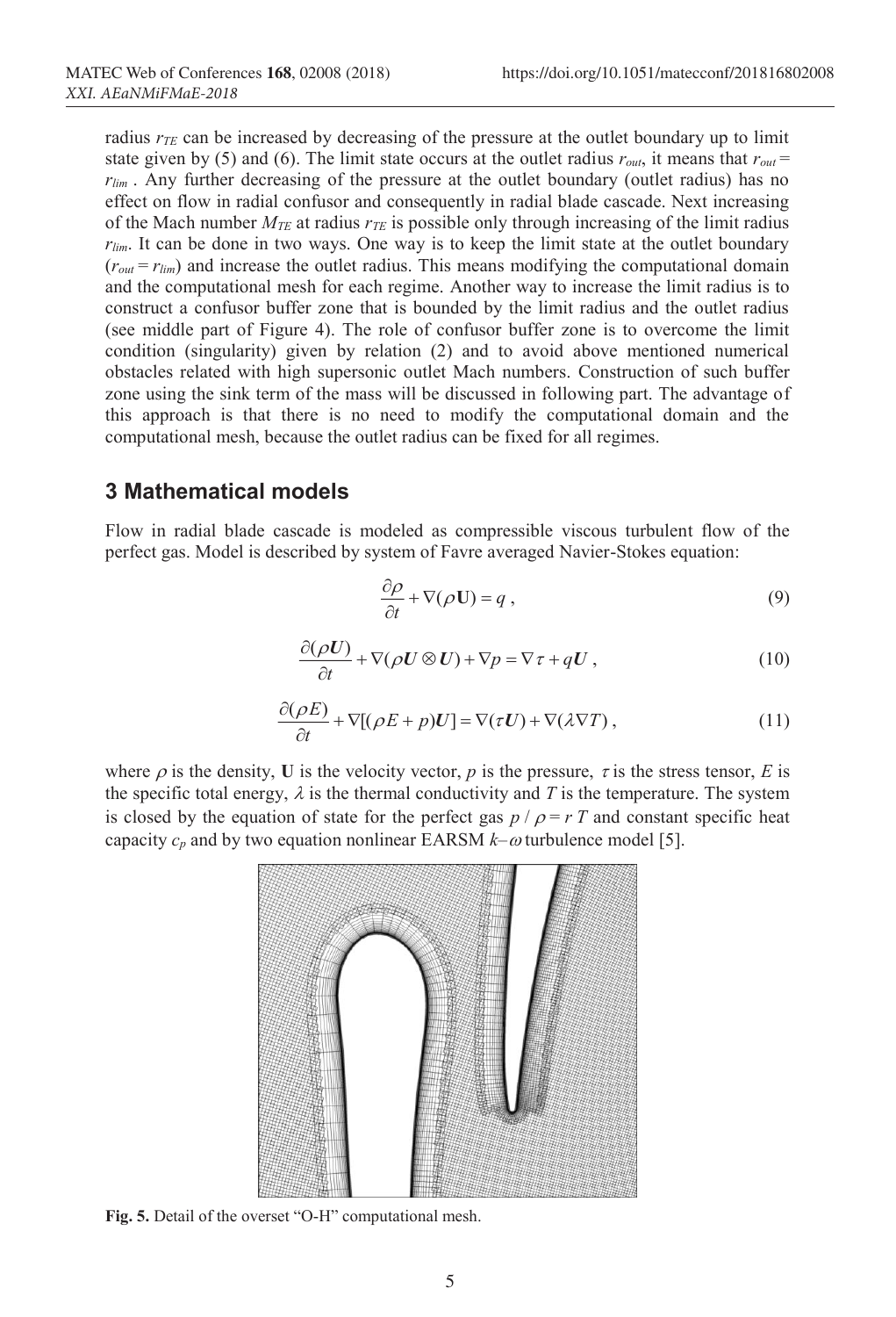radius  $r_{TF}$  can be increased by decreasing of the pressure at the outlet boundary up to limit state given by (5) and (6). The limit state occurs at the outlet radius  $r_{out}$ , it means that  $r_{out}$ *rlim* . Any further decreasing of the pressure at the outlet boundary (outlet radius) has no effect on flow in radial confusor and consequently in radial blade cascade. Next increasing of the Mach number  $M_{TE}$  at radius  $r_{TE}$  is possible only through increasing of the limit radius *rlim*. It can be done in two ways. One way is to keep the limit state at the outlet boundary  $(r<sub>out</sub> = r<sub>lim</sub>)$  and increase the outlet radius. This means modifying the computational domain and the computational mesh for each regime. Another way to increase the limit radius is to construct a confusor buffer zone that is bounded by the limit radius and the outlet radius (see middle part of Figure 4). The role of confusor buffer zone is to overcome the limit condition (singularity) given by relation (2) and to avoid above mentioned numerical obstacles related with high supersonic outlet Mach numbers. Construction of such buffer zone using the sink term of the mass will be discussed in following part. The advantage of this approach is that there is no need to modify the computational domain and the computational mesh, because the outlet radius can be fixed for all regimes.

## **3 Mathematical models**

Flow in radial blade cascade is modeled as compressible viscous turbulent flow of the perfect gas. Model is described by system of Favre averaged Navier-Stokes equation:

$$
\frac{\partial \rho}{\partial t} + \nabla(\rho \mathbf{U}) = q \,, \tag{9}
$$

$$
\frac{\partial(\rho U)}{\partial t} + \nabla(\rho U \otimes U) + \nabla p = \nabla \tau + qU, \qquad (10)
$$

$$
\frac{\partial(\rho E)}{\partial t} + \nabla [(\rho E + p)U] = \nabla(\tau U) + \nabla(\lambda \nabla T),\tag{11}
$$

where  $\rho$  is the density, **U** is the velocity vector,  $\rho$  is the pressure,  $\tau$  is the stress tensor, *E* is the specific total energy,  $\lambda$  is the thermal conductivity and T is the temperature. The system is closed by the equation of state for the perfect gas  $p / \rho = rT$  and constant specific heat capacity  $c_p$  and by two equation nonlinear EARSM  $k$ – $\omega$  turbulence model [5].



**Fig. 5.** Detail of the overset "O-H" computational mesh.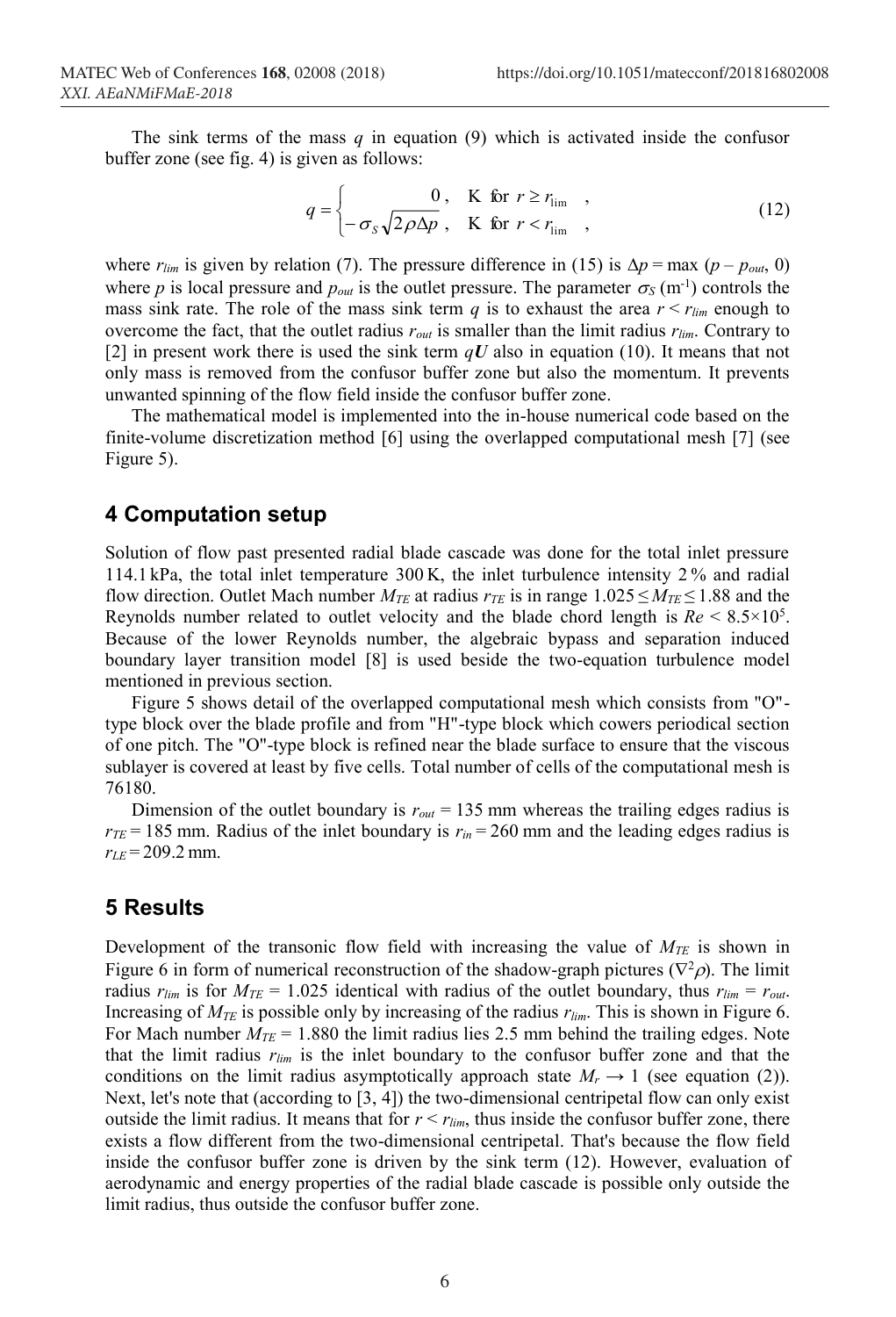The sink terms of the mass  $q$  in equation (9) which is activated inside the confusor buffer zone (see fig. 4) is given as follows:

$$
q = \begin{cases} 0, & \text{K for } r \ge r_{\text{lim}}, \\ -\sigma_s \sqrt{2\rho \Delta p}, & \text{K for } r < r_{\text{lim}}, \end{cases} \tag{12}
$$

where  $r_{lim}$  is given by relation (7). The pressure difference in (15) is  $\Delta p = \max (p - p_{out}, 0)$ where p is local pressure and  $p_{out}$  is the outlet pressure. The parameter  $\sigma_s$  (m<sup>-1</sup>) controls the mass sink rate. The role of the mass sink term  $q$  is to exhaust the area  $r < r_{lim}$  enough to overcome the fact, that the outlet radius *rout* is smaller than the limit radius *rlim*. Contrary to [2] in present work there is used the sink term *qU* also in equation (10). It means that not only mass is removed from the confusor buffer zone but also the momentum. It prevents unwanted spinning of the flow field inside the confusor buffer zone.

The mathematical model is implemented into the in-house numerical code based on the finite-volume discretization method [6] using the overlapped computational mesh [7] (see Figure 5).

#### **4 Computation setup**

Solution of flow past presented radial blade cascade was done for the total inlet pressure 114.1 kPa, the total inlet temperature 300 K, the inlet turbulence intensity 2 % and radial flow direction. Outlet Mach number  $M_{TE}$  at radius  $r_{TE}$  is in range 1.025  $\leq M_{TE} \leq 1.88$  and the Reynolds number related to outlet velocity and the blade chord length is  $Re \leq 8.5 \times 10^5$ . Because of the lower Reynolds number, the algebraic bypass and separation induced boundary layer transition model [8] is used beside the two-equation turbulence model mentioned in previous section.

Figure 5 shows detail of the overlapped computational mesh which consists from "O" type block over the blade profile and from "H"-type block which cowers periodical section of one pitch. The "O"-type block is refined near the blade surface to ensure that the viscous sublayer is covered at least by five cells. Total number of cells of the computational mesh is 76180.

Dimension of the outlet boundary is  $r_{out} = 135$  mm whereas the trailing edges radius is  $r_{TE}$  = 185 mm. Radius of the inlet boundary is  $r_{in}$  = 260 mm and the leading edges radius is  $r_{LE}$  = 209.2 mm.

### **5 Results**

Development of the transonic flow field with increasing the value of  $M_{TE}$  is shown in Figure 6 in form of numerical reconstruction of the shadow-graph pictures ( $\nabla^2 \rho$ ). The limit radius  $r_{lim}$  is for  $M_{TE} = 1.025$  identical with radius of the outlet boundary, thus  $r_{lim} = r_{out}$ . Increasing of *MTE* is possible only by increasing of the radius *rlim*. This is shown in Figure 6. For Mach number  $M_{TE}$  = 1.880 the limit radius lies 2.5 mm behind the trailing edges. Note that the limit radius *rlim* is the inlet boundary to the confusor buffer zone and that the conditions on the limit radius asymptotically approach state  $M_r \rightarrow 1$  (see equation (2)). Next, let's note that (according to [3, 4]) the two-dimensional centripetal flow can only exist outside the limit radius. It means that for  $r < r_{lim}$ , thus inside the confusor buffer zone, there exists a flow different from the two-dimensional centripetal. That's because the flow field inside the confusor buffer zone is driven by the sink term (12). However, evaluation of aerodynamic and energy properties of the radial blade cascade is possible only outside the limit radius, thus outside the confusor buffer zone.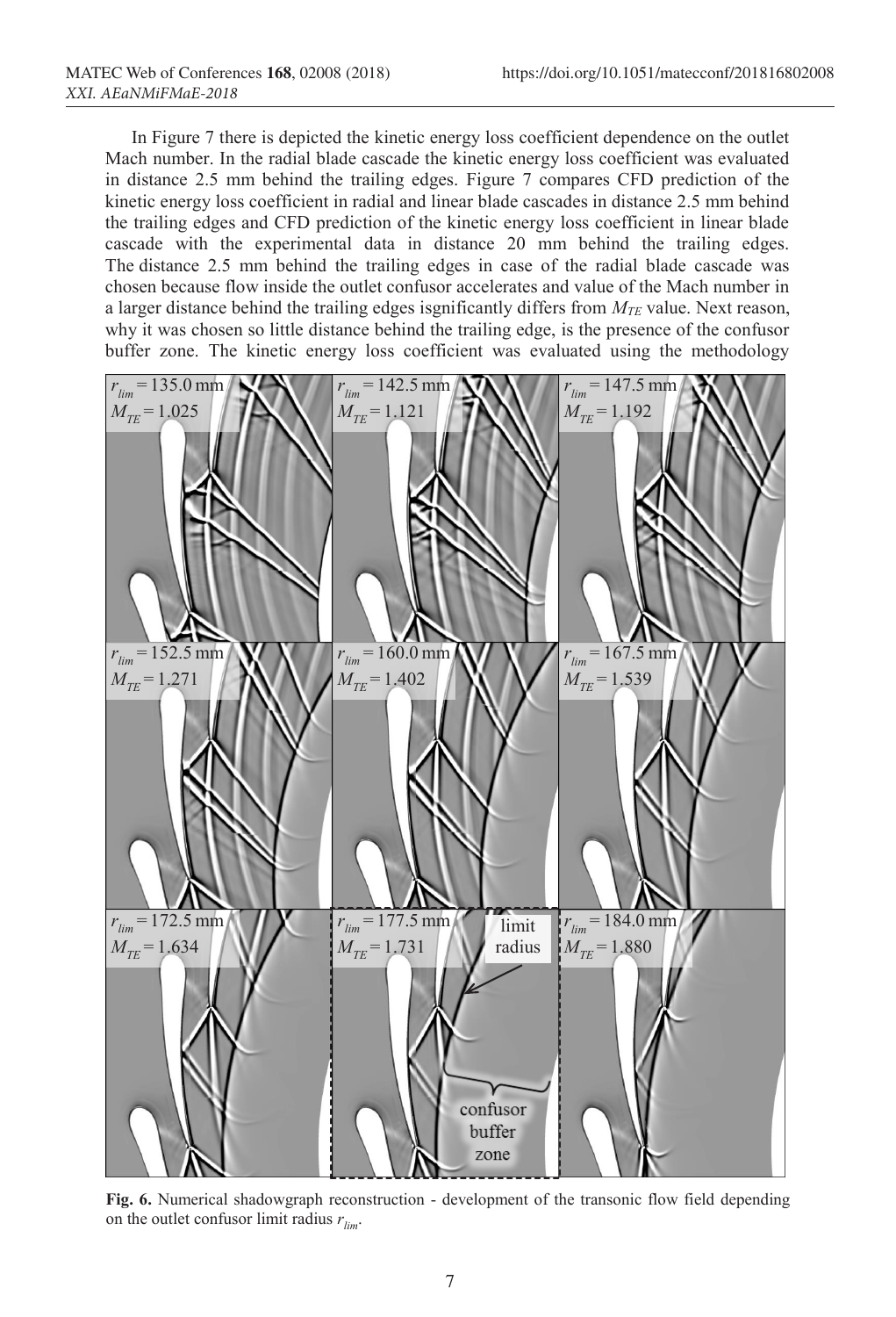In Figure 7 there is depicted the kinetic energy loss coefficient dependence on the outlet Mach number. In the radial blade cascade the kinetic energy loss coefficient was evaluated in distance 2.5 mm behind the trailing edges. Figure 7 compares CFD prediction of the kinetic energy loss coefficient in radial and linear blade cascades in distance 2.5 mm behind the trailing edges and CFD prediction of the kinetic energy loss coefficient in linear blade cascade with the experimental data in distance 20 mm behind the trailing edges. The distance 2.5 mm behind the trailing edges in case of the radial blade cascade was chosen because flow inside the outlet confusor accelerates and value of the Mach number in a larger distance behind the trailing edges isgnificantly differs from  $M_{TE}$  value. Next reason, why it was chosen so little distance behind the trailing edge, is the presence of the confusor buffer zone. The kinetic energy loss coefficient was evaluated using the methodology



**Fig. 6.** Numerical shadowgraph reconstruction - development of the transonic flow field depending on the outlet confusor limit radius  $r_{lim}$ .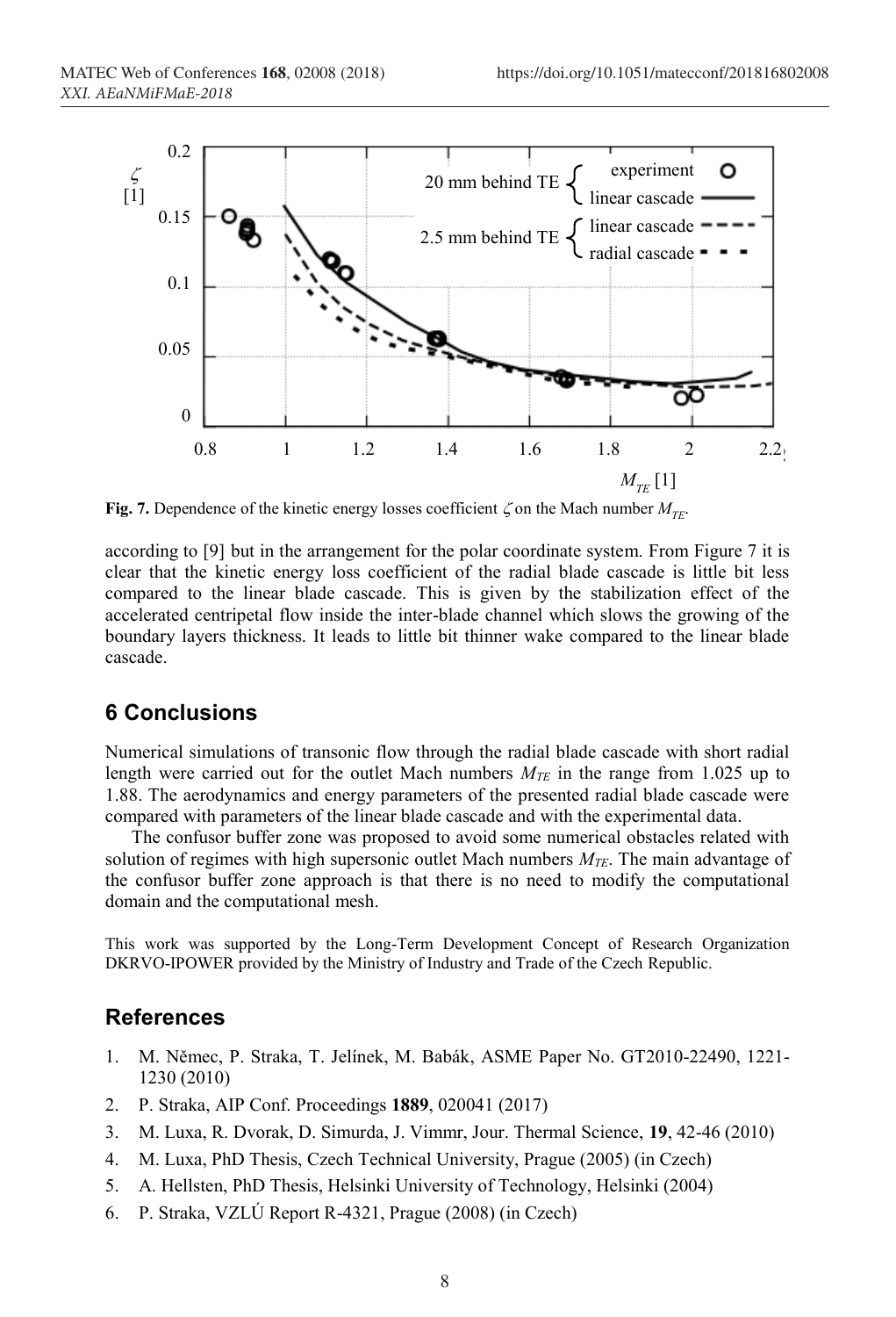

**Fig. 7.** Dependence of the kinetic energy losses coefficient  $\zeta$  on the Mach number  $M_{\tau F}$ .

according to [9] but in the arrangement for the polar coordinate system. From Figure 7 it is clear that the kinetic energy loss coefficient of the radial blade cascade is little bit less compared to the linear blade cascade. This is given by the stabilization effect of the accelerated centripetal flow inside the inter-blade channel which slows the growing of the boundary layers thickness. It leads to little bit thinner wake compared to the linear blade cascade.

# **6 Conclusions**

Numerical simulations of transonic flow through the radial blade cascade with short radial length were carried out for the outlet Mach numbers  $M_{TE}$  in the range from 1.025 up to 1.88. The aerodynamics and energy parameters of the presented radial blade cascade were compared with parameters of the linear blade cascade and with the experimental data.

The confusor buffer zone was proposed to avoid some numerical obstacles related with solution of regimes with high supersonic outlet Mach numbers *MTE*. The main advantage of the confusor buffer zone approach is that there is no need to modify the computational domain and the computational mesh.

This work was supported by the Long-Term Development Concept of Research Organization DKRVO-IPOWER provided by the Ministry of Industry and Trade of the Czech Republic.

## **References**

- 1. M. Němec, P. Straka, T. Jelínek, M. Babák, ASME Paper No. GT2010-22490, 1221- 1230 (2010)
- 2. P. Straka, AIP Conf. Proceedings **1889**, 020041 (2017)
- 3. M. Luxa, R. Dvorak, D. Simurda, J. Vimmr, Jour. Thermal Science, **19**, 42-46 (2010)
- 4. M. Luxa, PhD Thesis, Czech Technical University, Prague (2005) (in Czech)
- 5. A. Hellsten, PhD Thesis, Helsinki University of Technology, Helsinki (2004)
- 6. P. Straka, VZLÚ Report R-4321, Prague (2008) (in Czech)